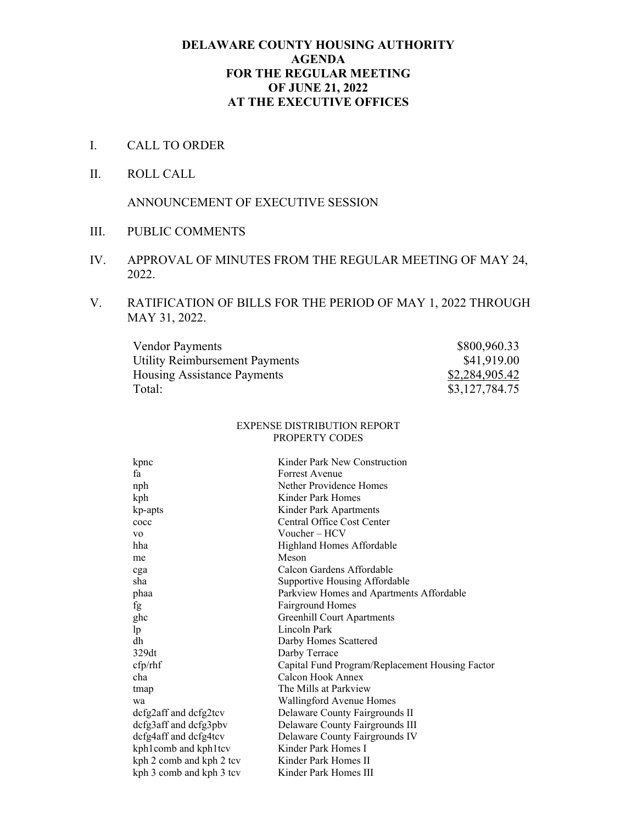#### **DELAWARE COUNTY HOUSING AUTHORITY AGENDA FOR THE REGULAR MEETING OF JUNE 21, 2022 AT THE EXECUTIVE OFFICES**

- I. CALL TO ORDER
- II. ROLL CALL

ANNOUNCEMENT OF EXECUTIVE SESSION

- III. PUBLIC COMMENTS
- IV. APPROVAL OF MINUTES FROM THE REGULAR MEETING OF MAY 24, 2022.
- V. RATIFICATION OF BILLS FOR THE PERIOD OF MAY 1, 2022 THROUGH MAY 31, 2022.

| <b>Vendor Payments</b>             | \$800,960.33   |
|------------------------------------|----------------|
| Utility Reimbursement Payments     | \$41,919.00    |
| <b>Housing Assistance Payments</b> | \$2,284,905.42 |
| Total:                             | \$3,127,784.75 |

#### EXPENSE DISTRIBUTION REPORT PROPERTY CODES

| kpnc                     | Kinder Park New Construction                    |
|--------------------------|-------------------------------------------------|
| fa                       | Forrest Avenue                                  |
| nph                      | Nether Providence Homes                         |
| kph                      | Kinder Park Homes                               |
| kp-apts                  | Kinder Park Apartments                          |
| cocc                     | Central Office Cost Center                      |
| V <sub>O</sub>           | Voucher – HCV                                   |
| hha                      | Highland Homes Affordable                       |
| me                       | Meson                                           |
| cga                      | Calcon Gardens Affordable                       |
| sha                      | Supportive Housing Affordable                   |
| phaa                     | Parkview Homes and Apartments Affordable        |
| fg                       | Fairground Homes                                |
| ghc                      | <b>Greenhill Court Apartments</b>               |
| lp                       | Lincoln Park                                    |
| dh                       | Darby Homes Scattered                           |
| 329dt                    | Darby Terrace                                   |
| cfp/ r h f               | Capital Fund Program/Replacement Housing Factor |
| cha                      | Calcon Hook Annex                               |
| tmap                     | The Mills at Parkview                           |
| wa                       | Wallingford Avenue Homes                        |
| dcfg2aff and dcfg2tcv    | Delaware County Fairgrounds II                  |
| dcfg3aff and dcfg3pbv    | Delaware County Fairgrounds III                 |
| dcfg4aff and dcfg4tcv    | Delaware County Fairgrounds IV                  |
| kph1comb and kph1tcv     | Kinder Park Homes I                             |
| kph 2 comb and kph 2 tcv | Kinder Park Homes II                            |
| kph 3 comb and kph 3 tev | Kinder Park Homes III                           |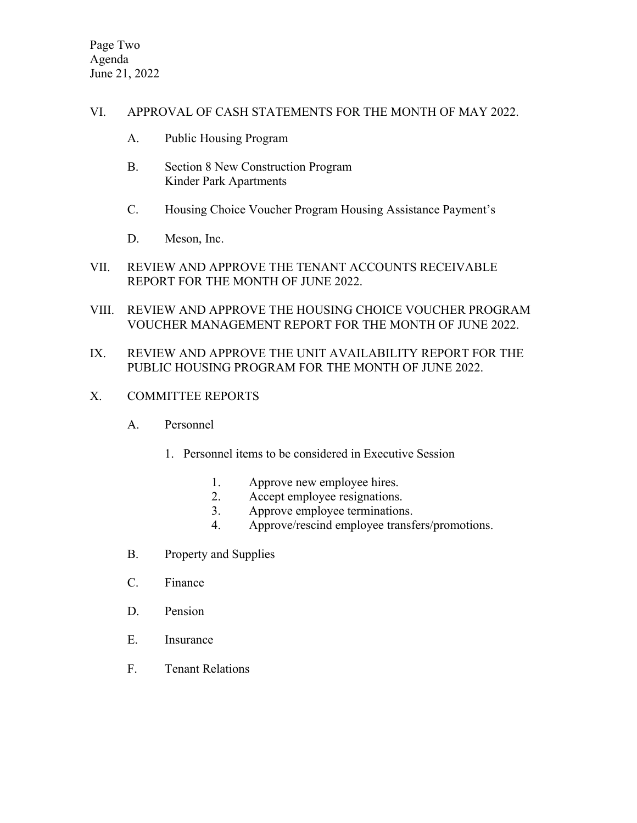## VI. APPROVAL OF CASH STATEMENTS FOR THE MONTH OF MAY 2022.

- A. Public Housing Program
- B. Section 8 New Construction Program Kinder Park Apartments
- C. Housing Choice Voucher Program Housing Assistance Payment's
- D. Meson, Inc.
- VII. REVIEW AND APPROVE THE TENANT ACCOUNTS RECEIVABLE REPORT FOR THE MONTH OF JUNE 2022.
- VIII. REVIEW AND APPROVE THE HOUSING CHOICE VOUCHER PROGRAM VOUCHER MANAGEMENT REPORT FOR THE MONTH OF JUNE 2022.

# IX. REVIEW AND APPROVE THE UNIT AVAILABILITY REPORT FOR THE PUBLIC HOUSING PROGRAM FOR THE MONTH OF JUNE 2022.

- X. COMMITTEE REPORTS
	- A. Personnel
		- 1. Personnel items to be considered in Executive Session
			- 1. Approve new employee hires.
			- 2. Accept employee resignations.
			- 3. Approve employee terminations.
			- 4. Approve/rescind employee transfers/promotions.
	- B. Property and Supplies
	- C. Finance
	- D. Pension
	- E. Insurance
	- F. Tenant Relations